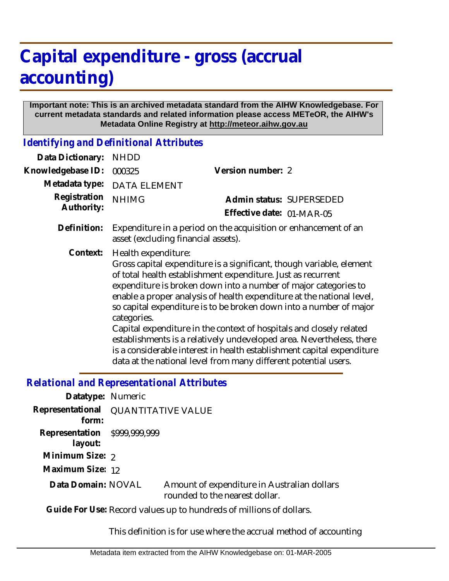## **Capital expenditure - gross (accrual accounting)**

## **Important note: This is an archived metadata standard from the AIHW Knowledgebase. For current metadata standards and related information please access METeOR, the AIHW's Metadata Online Registry at http://meteor.aihw.gov.au**

*Identifying and Definitional Attributes*

| Data Dictionary:           | <b>NHDD</b>                                                                                                                                                                                                                                                                                                                                                                                                                                                                                                                                                                                                                                                                              |                                                       |
|----------------------------|------------------------------------------------------------------------------------------------------------------------------------------------------------------------------------------------------------------------------------------------------------------------------------------------------------------------------------------------------------------------------------------------------------------------------------------------------------------------------------------------------------------------------------------------------------------------------------------------------------------------------------------------------------------------------------------|-------------------------------------------------------|
| Knowledgebase ID:          | 000325                                                                                                                                                                                                                                                                                                                                                                                                                                                                                                                                                                                                                                                                                   | Version number: 2                                     |
| Metadata type:             | <b>DATA ELEMENT</b>                                                                                                                                                                                                                                                                                                                                                                                                                                                                                                                                                                                                                                                                      |                                                       |
| Registration<br>Authority: | <b>NHIMG</b>                                                                                                                                                                                                                                                                                                                                                                                                                                                                                                                                                                                                                                                                             | Admin status: SUPERSEDED<br>Effective date: 01-MAR-05 |
| Definition:                | Expenditure in a period on the acquisition or enhancement of an<br>asset (excluding financial assets).                                                                                                                                                                                                                                                                                                                                                                                                                                                                                                                                                                                   |                                                       |
| Context:                   | Health expenditure:<br>Gross capital expenditure is a significant, though variable, element<br>of total health establishment expenditure. Just as recurrent<br>expenditure is broken down into a number of major categories to<br>enable a proper analysis of health expenditure at the national level,<br>so capital expenditure is to be broken down into a number of major<br>categories.<br>Capital expenditure in the context of hospitals and closely related<br>establishments is a relatively undeveloped area. Nevertheless, there<br>is a considerable interest in health establishment capital expenditure<br>data at the national level from many different potential users. |                                                       |
|                            |                                                                                                                                                                                                                                                                                                                                                                                                                                                                                                                                                                                                                                                                                          |                                                       |

## *Relational and Representational Attributes*

| Datatype: Numeric                                                    |                                     |                                                                               |  |
|----------------------------------------------------------------------|-------------------------------------|-------------------------------------------------------------------------------|--|
| form:                                                                | Representational QUANTITATIVE VALUE |                                                                               |  |
| Representation \$999,999,999<br>layout:                              |                                     |                                                                               |  |
| Minimum Size: 2                                                      |                                     |                                                                               |  |
| Maximum Size: 12                                                     |                                     |                                                                               |  |
| Data Domain: NOVAL                                                   |                                     | Amount of expenditure in Australian dollars<br>rounded to the nearest dollar. |  |
| Cuide Fortboo, Dessad ush issue to bursdreads of millions of dellers |                                     |                                                                               |  |

Guide For Use: Record values up to hundreds of millions of dollars.

This definition is for use where the accrual method of accounting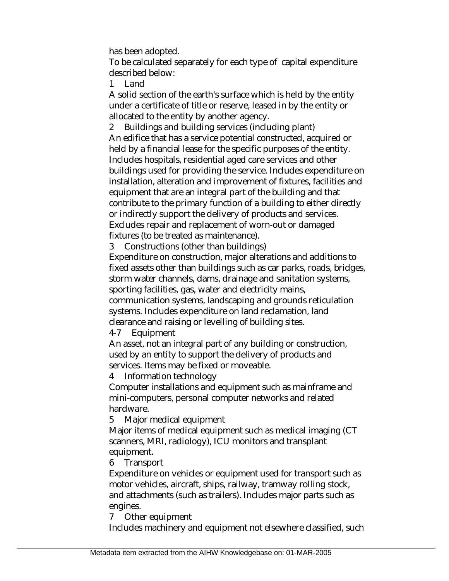has been adopted.

To be calculated separately for each type of capital expenditure described below:

1 Land

A solid section of the earth's surface which is held by the entity under a certificate of title or reserve, leased in by the entity or allocated to the entity by another agency.

2 Buildings and building services (including plant) An edifice that has a service potential constructed, acquired or held by a financial lease for the specific purposes of the entity. Includes hospitals, residential aged care services and other buildings used for providing the service. Includes expenditure on installation, alteration and improvement of fixtures, facilities and equipment that are an integral part of the building and that contribute to the primary function of a building to either directly or indirectly support the delivery of products and services. Excludes repair and replacement of worn-out or damaged fixtures (to be treated as maintenance).

3 Constructions (other than buildings)

Expenditure on construction, major alterations and additions to fixed assets other than buildings such as car parks, roads, bridges, storm water channels, dams, drainage and sanitation systems, sporting facilities, gas, water and electricity mains, communication systems, landscaping and grounds reticulation systems. Includes expenditure on land reclamation, land clearance and raising or levelling of building sites.

4-7 Equipment

An asset, not an integral part of any building or construction, used by an entity to support the delivery of products and services. Items may be fixed or moveable.

4 Information technology

Computer installations and equipment such as mainframe and mini-computers, personal computer networks and related hardware.

5 Major medical equipment

Major items of medical equipment such as medical imaging (CT scanners, MRI, radiology), ICU monitors and transplant equipment.

6 Transport

Expenditure on vehicles or equipment used for transport such as motor vehicles, aircraft, ships, railway, tramway rolling stock, and attachments (such as trailers). Includes major parts such as engines.

7 Other equipment

Includes machinery and equipment not elsewhere classified, such